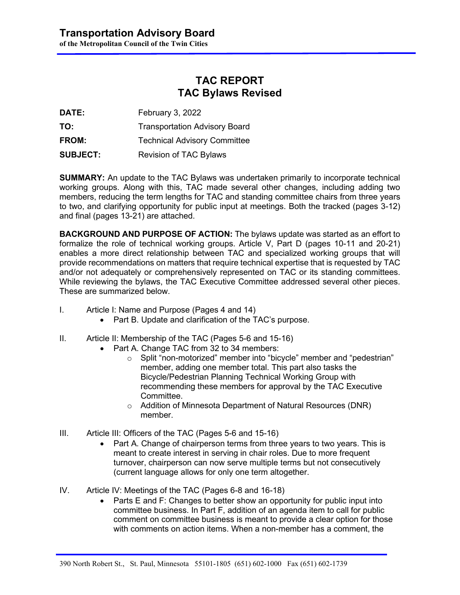### **TAC REPORT TAC Bylaws Revised**

**DATE:** February 3, 2022

**TO:** Transportation Advisory Board

**FROM:** Technical Advisory Committee

**SUBJECT:** Revision of TAC Bylaws

**SUMMARY:** An update to the TAC Bylaws was undertaken primarily to incorporate technical working groups. Along with this, TAC made several other changes, including adding two members, reducing the term lengths for TAC and standing committee chairs from three years to two, and clarifying opportunity for public input at meetings. Both the tracked (pages 3-12) and final (pages 13-21) are attached.

**BACKGROUND AND PURPOSE OF ACTION:** The bylaws update was started as an effort to formalize the role of technical working groups. Article V, Part D (pages 10-11 and 20-21) enables a more direct relationship between TAC and specialized working groups that will provide recommendations on matters that require technical expertise that is requested by TAC and/or not adequately or comprehensively represented on TAC or its standing committees. While reviewing the bylaws, the TAC Executive Committee addressed several other pieces. These are summarized below.

- I. Article I: Name and Purpose (Pages 4 and 14)
	- Part B. Update and clarification of the TAC's purpose.
- II. Article II: Membership of the TAC (Pages 5-6 and 15-16)
	- Part A. Change TAC from 32 to 34 members:
		- o Split "non-motorized" member into "bicycle" member and "pedestrian" member, adding one member total. This part also tasks the Bicycle/Pedestrian Planning Technical Working Group with recommending these members for approval by the TAC Executive Committee.
		- o Addition of Minnesota Department of Natural Resources (DNR) member.
- III. Article III: Officers of the TAC (Pages 5-6 and 15-16)
	- Part A. Change of chairperson terms from three years to two years. This is meant to create interest in serving in chair roles. Due to more frequent turnover, chairperson can now serve multiple terms but not consecutively (current language allows for only one term altogether.
- IV. Article IV: Meetings of the TAC (Pages 6-8 and 16-18)
	- Parts E and F: Changes to better show an opportunity for public input into committee business. In Part F, addition of an agenda item to call for public comment on committee business is meant to provide a clear option for those with comments on action items. When a non-member has a comment, the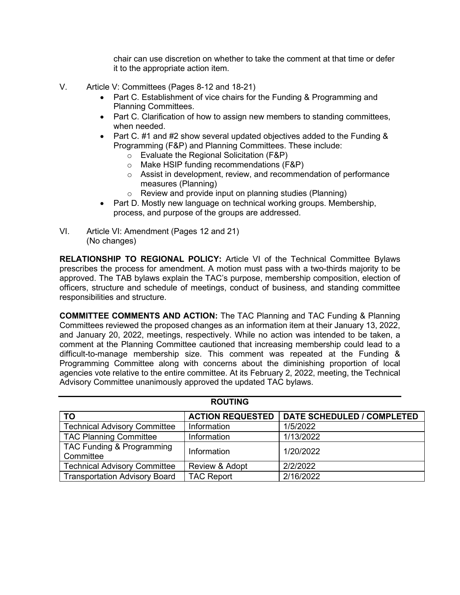chair can use discretion on whether to take the comment at that time or defer it to the appropriate action item.

- V. Article V: Committees (Pages 8-12 and 18-21)
	- Part C. Establishment of vice chairs for the Funding & Programming and Planning Committees.
	- Part C. Clarification of how to assign new members to standing committees, when needed.
	- Part C. #1 and #2 show several updated objectives added to the Funding & Programming (F&P) and Planning Committees. These include:
		- o Evaluate the Regional Solicitation (F&P)
		- o Make HSIP funding recommendations (F&P)
		- $\circ$  Assist in development, review, and recommendation of performance measures (Planning)
		- o Review and provide input on planning studies (Planning)
	- Part D. Mostly new language on technical working groups. Membership, process, and purpose of the groups are addressed.
- VI. Article VI: Amendment (Pages 12 and 21) (No changes)

**RELATIONSHIP TO REGIONAL POLICY:** Article VI of the Technical Committee Bylaws prescribes the process for amendment. A motion must pass with a two-thirds majority to be approved. The TAB bylaws explain the TAC's purpose, membership composition, election of officers, structure and schedule of meetings, conduct of business, and standing committee responsibilities and structure.

**COMMITTEE COMMENTS AND ACTION:** The TAC Planning and TAC Funding & Planning Committees reviewed the proposed changes as an information item at their January 13, 2022, and January 20, 2022, meetings, respectively. While no action was intended to be taken, a comment at the Planning Committee cautioned that increasing membership could lead to a difficult-to-manage membership size. This comment was repeated at the Funding & Programming Committee along with concerns about the diminishing proportion of local agencies vote relative to the entire committee. At its February 2, 2022, meeting, the Technical Advisory Committee unanimously approved the updated TAC bylaws.

| <b>ROUTING</b>                         |                         |                                   |  |  |
|----------------------------------------|-------------------------|-----------------------------------|--|--|
| <b>TO</b>                              | <b>ACTION REQUESTED</b> | <b>DATE SCHEDULED / COMPLETED</b> |  |  |
| <b>Technical Advisory Committee</b>    | Information             | 1/5/2022                          |  |  |
| <b>TAC Planning Committee</b>          | Information             | 1/13/2022                         |  |  |
| TAC Funding & Programming<br>Committee | Information             | 1/20/2022                         |  |  |
| <b>Technical Advisory Committee</b>    | Review & Adopt          | 2/2/2022                          |  |  |
| <b>Transportation Advisory Board</b>   | <b>TAC Report</b>       | 2/16/2022                         |  |  |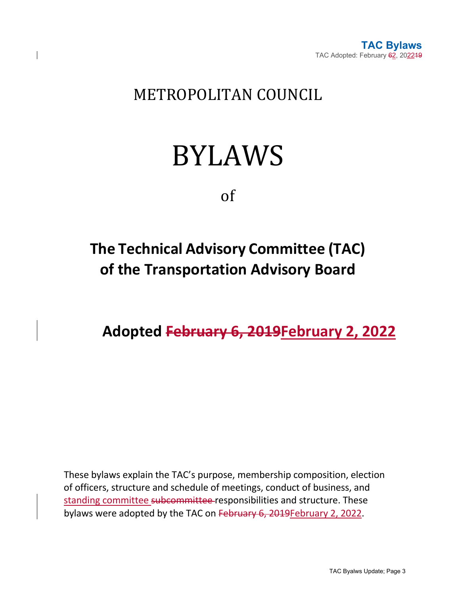

### METROPOLITAN COUNCIL

# BYLAWS

of

## **The Technical Advisory Committee (TAC) of the Transportation Advisory Board**

**Adopted February 6, 2019February 2, 2022**

These bylaws explain the TAC's purpose, membership composition, election of officers, structure and schedule of meetings, conduct of business, and standing committee subcommittee responsibilities and structure. These bylaws were adopted by the TAC on February 6, 2019February 2, 2022.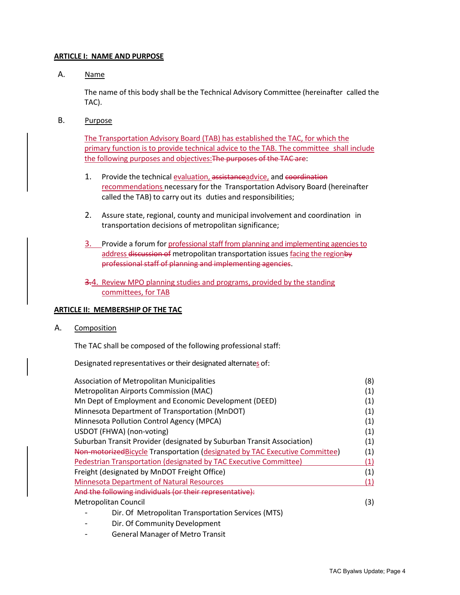#### **ARTICLE I: NAME AND PURPOSE**

A. Name

The name of this body shall be the Technical Advisory Committee (hereinafter called the TAC).

B. Purpose

The Transportation Advisory Board (TAB) has established the TAC, for which the primary function is to provide technical advice to the TAB. The committee shall include the following purposes and objectives:The purposes of the TAC are:

- 1. Provide the technical evaluation, assistanceadvice, and coordination recommendations necessary for the Transportation Advisory Board (hereinafter called the TAB) to carry out its duties and responsibilities;
- 2. Assure state, regional, county and municipal involvement and coordination in transportation decisions of metropolitan significance;
- 3. Provide a forum for professional staff from planning and implementing agencies to address discussion of metropolitan transportation issues facing the regionby professional staff of planning and implementing agencies.
- 3.4. Review MPO planning studies and programs, provided by the standing committees, for TAB

#### **ARTICLE II: MEMBERSHIP OF THE TAC**

A. Composition

The TAC shall be composed of the following professional staff:

Designated representatives or their designated alternates of:

| <b>Association of Metropolitan Municipalities</b>                            | (8) |
|------------------------------------------------------------------------------|-----|
| Metropolitan Airports Commission (MAC)                                       | (1) |
| Mn Dept of Employment and Economic Development (DEED)                        | (1) |
| Minnesota Department of Transportation (MnDOT)                               | (1) |
| Minnesota Pollution Control Agency (MPCA)                                    | (1) |
| USDOT (FHWA) (non-voting)                                                    | (1) |
| Suburban Transit Provider (designated by Suburban Transit Association)       | (1) |
| Non-motorized Bicycle Transportation (designated by TAC Executive Committee) | (1) |
| Pedestrian Transportation (designated by TAC Executive Committee)            | (1) |
| Freight (designated by MnDOT Freight Office)                                 | (1) |
| <b>Minnesota Department of Natural Resources</b>                             | (1) |
| And the following individuals (or their representative):                     |     |
| Metropolitan Council                                                         |     |
| Dir. Of Metropolitan Transportation Services (MTS)                           |     |
| Dir. Of Community Development                                                |     |

General Manager of Metro Transit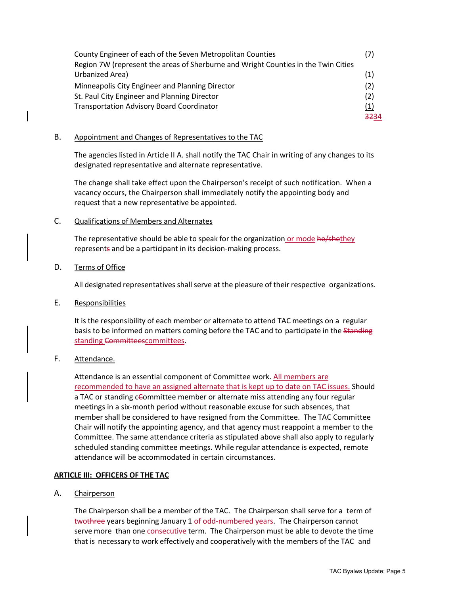| County Engineer of each of the Seven Metropolitan Counties                         |      |
|------------------------------------------------------------------------------------|------|
| Region 7W (represent the areas of Sherburne and Wright Counties in the Twin Cities |      |
| Urbanized Area)                                                                    | (1)  |
| Minneapolis City Engineer and Planning Director                                    | (2)  |
| St. Paul City Engineer and Planning Director                                       | (2)  |
| <b>Transportation Advisory Board Coordinator</b>                                   |      |
|                                                                                    | 3234 |

#### B. Appointment and Changes of Representatives to the TAC

The agencies listed in Article II A. shall notify the TAC Chair in writing of any changes to its designated representative and alternate representative.

The change shall take effect upon the Chairperson's receipt of such notification. When a vacancy occurs, the Chairperson shall immediately notify the appointing body and request that a new representative be appointed.

#### C. Qualifications of Members and Alternates

The representative should be able to speak for the organization or mode he/shethey represents and be a participant in its decision-making process.

#### D. Terms of Office

All designated representatives shall serve at the pleasure of their respective organizations.

#### E. Responsibilities

It is the responsibility of each member or alternate to attend TAC meetings on a regular basis to be informed on matters coming before the TAC and to participate in the Standing standing Committeescommittees.

#### F. Attendance.

Attendance is an essential component of Committee work. All members are recommended to have an assigned alternate that is kept up to date on TAC issues. Should a TAC or standing cCommittee member or alternate miss attending any four regular meetings in a six-month period without reasonable excuse for such absences, that member shall be considered to have resigned from the Committee. The TAC Committee Chair will notify the appointing agency, and that agency must reappoint a member to the Committee. The same attendance criteria as stipulated above shall also apply to regularly scheduled standing committee meetings. While regular attendance is expected, remote attendance will be accommodated in certain circumstances.

#### **ARTICLE III: OFFICERS OF THE TAC**

#### A. Chairperson

The Chairperson shall be a member of the TAC. The Chairperson shall serve for a term of twothree years beginning January 1 of odd-numbered years. The Chairperson cannot serve more than one consecutive term. The Chairperson must be able to devote the time that is necessary to work effectively and cooperatively with the members of the TAC and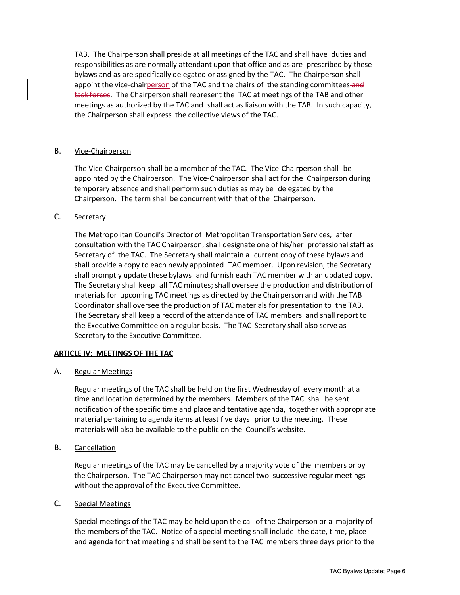TAB. The Chairperson shall preside at all meetings of the TAC and shall have duties and responsibilities as are normally attendant upon that office and as are prescribed by these bylaws and as are specifically delegated or assigned by the TAC. The Chairperson shall appoint the vice-chairperson of the TAC and the chairs of the standing committees-and task forces. The Chairperson shall represent the TAC at meetings of the TAB and other meetings as authorized by the TAC and shall act as liaison with the TAB. In such capacity, the Chairperson shall express the collective views of the TAC.

#### B. Vice-Chairperson

The Vice-Chairperson shall be a member of the TAC. The Vice-Chairperson shall be appointed by the Chairperson. The Vice-Chairperson shall act for the Chairperson during temporary absence and shall perform such duties as may be delegated by the Chairperson. The term shall be concurrent with that of the Chairperson.

#### C. Secretary

The Metropolitan Council's Director of Metropolitan Transportation Services, after consultation with the TAC Chairperson, shall designate one of his/her professional staff as Secretary of the TAC. The Secretary shall maintain a current copy of these bylaws and shall provide a copy to each newly appointed TAC member. Upon revision, the Secretary shall promptly update these bylaws and furnish each TAC member with an updated copy. The Secretary shall keep all TAC minutes; shall oversee the production and distribution of materials for upcoming TAC meetings as directed by the Chairperson and with the TAB Coordinator shall oversee the production of TAC materials for presentation to the TAB. The Secretary shall keep a record of the attendance of TAC members and shall report to the Executive Committee on a regular basis. The TAC Secretary shall also serve as Secretary to the Executive Committee.

#### **ARTICLE IV: MEETINGS OF THE TAC**

A. Regular Meetings

Regular meetings of the TAC shall be held on the first Wednesday of every month at a time and location determined by the members. Members of the TAC shall be sent notification of the specific time and place and tentative agenda, together with appropriate material pertaining to agenda items at least five days prior to the meeting. These materials will also be available to the public on the Council's website.

B. Cancellation

Regular meetings of the TAC may be cancelled by a majority vote of the members or by the Chairperson. The TAC Chairperson may not cancel two successive regular meetings without the approval of the Executive Committee.

#### C. Special Meetings

Special meetings of the TAC may be held upon the call of the Chairperson or a majority of the members of the TAC. Notice of a special meeting shall include the date, time, place and agenda for that meeting and shall be sent to the TAC members three days prior to the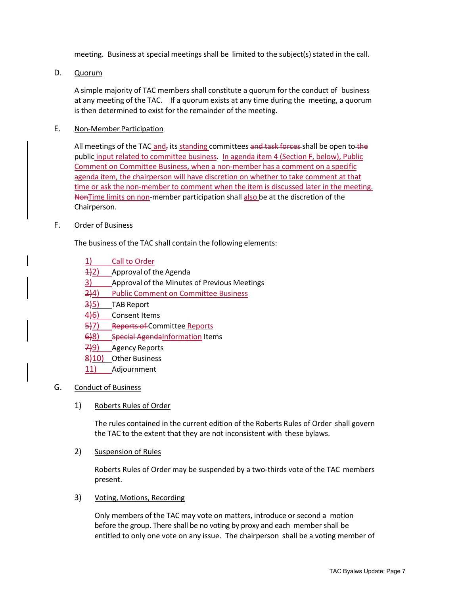meeting. Business at special meetings shall be limited to the subject(s) stated in the call.

D. Quorum

A simple majority of TAC members shall constitute a quorum for the conduct of business at any meeting of the TAC. If a quorum exists at any time during the meeting, a quorum is then determined to exist for the remainder of the meeting.

#### E. Non-Member Participation

All meetings of the TAC and, its standing committees and task forces shall be open to the public input related to committee business. In agenda item 4 (Section F, below), Public Comment on Committee Business, when a non-member has a comment on a specific agenda item, the chairperson will have discretion on whether to take comment at that time or ask the non-member to comment when the item is discussed later in the meeting. NonTime limits on non-member participation shall also be at the discretion of the Chairperson.

#### F. Order of Business

The business of the TAC shall contain the following elements:

- 1) Call to Order
- $\frac{1}{2}$  Approval of the Agenda
- 3) Approval of the Minutes of Previous Meetings
- 2)4) Public Comment on Committee Business
- 3)5) TAB Report
- 4)6) Consent Items
- 5)7) Reports of Committee Reports
- 6)8) Special Agenda Information Items
- 7)9) Agency Reports
- 8)10) Other Business
- 11) Adjournment

#### G. Conduct of Business

1) Roberts Rules of Order

The rules contained in the current edition of the Roberts Rules of Order shall govern the TAC to the extent that they are not inconsistent with these bylaws.

2) Suspension of Rules

Roberts Rules of Order may be suspended by a two-thirds vote of the TAC members present.

#### 3) Voting, Motions, Recording

Only members of the TAC may vote on matters, introduce or second a motion before the group. There shall be no voting by proxy and each member shall be entitled to only one vote on any issue. The chairperson shall be a voting member of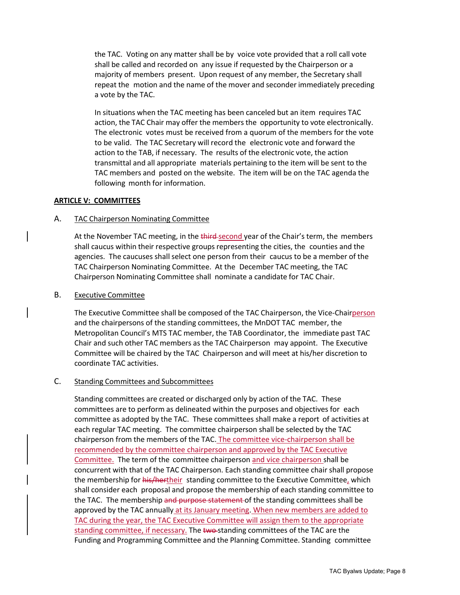the TAC. Voting on any matter shall be by voice vote provided that a roll call vote shall be called and recorded on any issue if requested by the Chairperson or a majority of members present. Upon request of any member, the Secretary shall repeat the motion and the name of the mover and seconder immediately preceding a vote by the TAC.

In situations when the TAC meeting has been canceled but an item requires TAC action, the TAC Chair may offer the members the opportunity to vote electronically. The electronic votes must be received from a quorum of the members for the vote to be valid. The TAC Secretary will record the electronic vote and forward the action to the TAB, if necessary. The results of the electronic vote, the action transmittal and all appropriate materials pertaining to the item will be sent to the TAC members and posted on the website. The item will be on the TAC agenda the following month for information.

#### **ARTICLE V: COMMITTEES**

#### A. TAC Chairperson Nominating Committee

At the November TAC meeting, in the third-second year of the Chair's term, the members shall caucus within their respective groups representing the cities, the counties and the agencies. The caucuses shall select one person from their caucus to be a member of the TAC Chairperson Nominating Committee. At the December TAC meeting, the TAC Chairperson Nominating Committee shall nominate a candidate for TAC Chair.

#### B. Executive Committee

The Executive Committee shall be composed of the TAC Chairperson, the Vice-Chairperson and the chairpersons of the standing committees, the MnDOT TAC member, the Metropolitan Council's MTS TAC member, the TAB Coordinator, the immediate past TAC Chair and such other TAC members as the TAC Chairperson may appoint. The Executive Committee will be chaired by the TAC Chairperson and will meet at his/her discretion to coordinate TAC activities.

#### C. Standing Committees and Subcommittees

Standing committees are created or discharged only by action of the TAC. These committees are to perform as delineated within the purposes and objectives for each committee as adopted by the TAC. These committees shall make a report of activities at each regular TAC meeting. The committee chairperson shall be selected by the TAC chairperson from the members of the TAC. The committee vice-chairperson shall be recommended by the committee chairperson and approved by the TAC Executive Committee. The term of the committee chairperson and vice chairperson shall be concurrent with that of the TAC Chairperson. Each standing committee chair shall propose the membership for his/hertheir standing committee to the Executive Committee, which shall consider each proposal and propose the membership of each standing committee to the TAC. The membership and purpose statement of the standing committees shall be approved by the TAC annually at its January meeting. When new members are added to TAC during the year, the TAC Executive Committee will assign them to the appropriate standing committee, if necessary. The two-standing committees of the TAC are the Funding and Programming Committee and the Planning Committee. Standing committee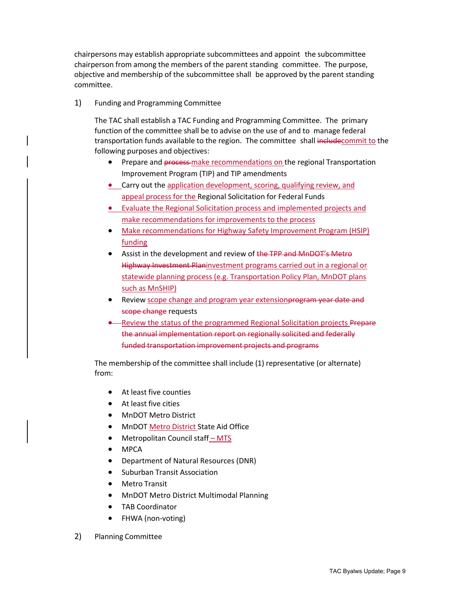chairpersons may establish appropriate subcommittees and appoint the subcommittee chairperson from among the members of the parent standing committee. The purpose, objective and membership of the subcommittee shall be approved by the parent standing committee.

1) Funding and Programming Committee

The TAC shall establish a TAC Funding and Programming Committee. The primary function of the committee shall be to advise on the use of and to manage federal transportation funds available to the region. The committee shall includecommit to the following purposes and objectives:

- Prepare and process-make recommendations on the regional Transportation Improvement Program (TIP) and TIP amendments
- Carry out the application development, scoring, qualifying review, and appeal process for the Regional Solicitation for Federal Funds
- Evaluate the Regional Solicitation process and implemented projects and make recommendations for improvements to the process
- Make recommendations for Highway Safety Improvement Program (HSIP) funding
- Assist in the development and review of the TPP and MnDOT's Metro Highway Investment Planinvestment programs carried out in a regional or statewide planning process (e.g. Transportation Policy Plan, MnDOT plans such as MnSHIP)
- Review scope change and program year extension program year date and scope change requests
- Review the status of the programmed Regional Solicitation projects Prepare the annual implementation report on regionally solicited and federally funded transportation improvement projects and programs

The membership of the committee shall include (1) representative (or alternate) from:

- At least five counties
- At least five cities
- MnDOT Metro District
- MnDOT Metro District State Aid Office
- Metropolitan Council staff MTS
- MPCA
- Department of Natural Resources (DNR)
- Suburban Transit Association
- **Metro Transit**
- MnDOT Metro District Multimodal Planning
- TAB Coordinator
- FHWA (non-voting)
- 2) Planning Committee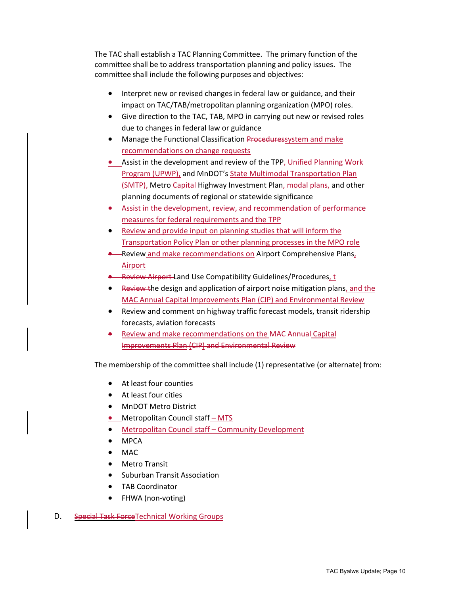The TAC shall establish a TAC Planning Committee. The primary function of the committee shall be to address transportation planning and policy issues. The committee shall include the following purposes and objectives:

- Interpret new or revised changes in federal law or guidance, and their impact on TAC/TAB/metropolitan planning organization (MPO) roles.
- Give direction to the TAC, TAB, MPO in carrying out new or revised roles due to changes in federal law or guidance
- Manage the Functional Classification Proceduressystem and make recommendations on change requests
- Assist in the development and review of the TPP, Unified Planning Work Program (UPWP), and MnDOT's State Multimodal Transportation Plan (SMTP), Metro Capital Highway Investment Plan, modal plans, and other planning documents of regional or statewide significance
- Assist in the development, review, and recommendation of performance measures for federal requirements and the TPP
- Review and provide input on planning studies that will inform the Transportation Policy Plan or other planning processes in the MPO role
- **•** Review and make recommendations on Airport Comprehensive Plans, Airport
- Review Airport Land Use Compatibility Guidelines/Procedures, t
- Review the design and application of airport noise mitigation plans, and the MAC Annual Capital Improvements Plan (CIP) and Environmental Review
- Review and comment on highway traffic forecast models, transit ridership forecasts, aviation forecasts
- Review and make recommendations on the MAC Annual Capital Improvements Plan (CIP) and Environmental Review

The membership of the committee shall include (1) representative (or alternate) from:

- At least four counties
- At least four cities
- MnDOT Metro District
- Metropolitan Council staff MTS
- Metropolitan Council staff Community Development
- MPCA
- MAC
- Metro Transit
- Suburban Transit Association
- TAB Coordinator
- FHWA (non-voting)
- D. Special Task Force Technical Working Groups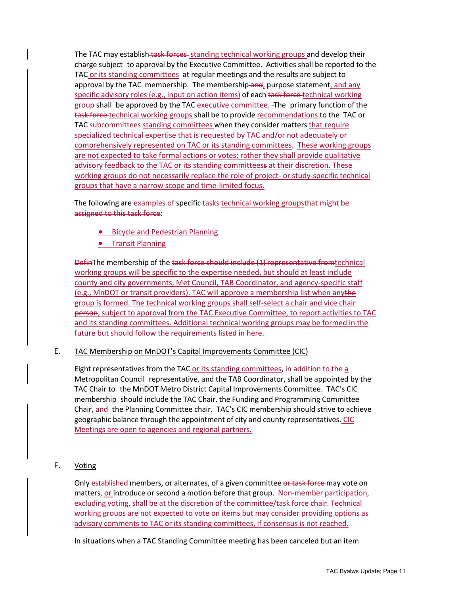The TAC may establish task forces standing technical working groups and develop their charge subject to approval by the Executive Committee. Activities shall be reported to the TAC or its standing committees at regular meetings and the results are subject to approval by the TAC membership. The membership-and, purpose statement, and any specific advisory roles (e.g., input on action items) of each task force technical working group shall be approved by the TAC executive committee. The primary function of the task force-technical working groups shall be to provide recommendations to the TAC or TAC subcommittees standing committees when they consider matters that require specialized technical expertise that is requested by TAC and/or not adequately or comprehensively represented on TAC or its standing committees. These working groups are not expected to take formal actions or votes; rather they shall provide qualitative advisory feedback to the TAC or its standing committeess at their discretion. These working groups do not necessarily replace the role of project- or study-specific technical groups that have a narrow scope and time-limited focus.

The following are examples of specific tasks technical working groupsthat might be assigned to this task force:

- Bicycle and Pedestrian Planning
- Transit Planning

DefinThe membership of the task force should include (1) representative fromtechnical working groups will be specific to the expertise needed, but should at least include county and city governments, Met Council, TAB Coordinator, and agency-specific staff (e.g., MnDOT or transit providers). TAC will approve a membership list when anythe group is formed. The technical working groups shall self-select a chair and vice chair person, subject to approval from the TAC Executive Committee, to report activities to TAC and its standing committees. Additional technical working groups may be formed in the future but should follow the requirements listed in here.

#### E. TAC Membership on MnDOT's Capital Improvements Committee (CIC)

Eight representatives from the TAC or its standing committees, in addition to the a Metropolitan Council representative, and the TAB Coordinator, shall be appointed by the TAC Chair to the MnDOT Metro District Capital Improvements Committee. TAC's CIC membership should include the TAC Chair, the Funding and Programming Committee Chair, and the Planning Committee chair. TAC's CIC membership should strive to achieve geographic balance through the appointment of city and county representatives. CIC Meetings are open to agencies and regional partners.

#### F. Voting

Only established members, or alternates, of a given committee or task force may vote on matters, or introduce or second a motion before that group. Non-member participation, excluding voting, shall be at the discretion of the committee/task force chair. Technical working groups are not expected to vote on items but may consider providing options as advisory comments to TAC or its standing committees, if consensus is not reached.

In situations when a TAC Standing Committee meeting has been canceled but an item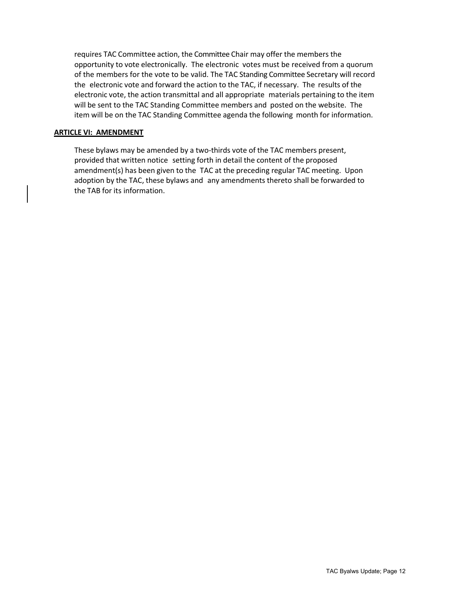requires TAC Committee action, the Committee Chair may offer the members the opportunity to vote electronically. The electronic votes must be received from a quorum of the members for the vote to be valid. The TAC Standing Committee Secretary will record the electronic vote and forward the action to the TAC, if necessary. The results of the electronic vote, the action transmittal and all appropriate materials pertaining to the item will be sent to the TAC Standing Committee members and posted on the website. The item will be on the TAC Standing Committee agenda the following month for information.

#### **ARTICLE VI: AMENDMENT**

These bylaws may be amended by a two-thirds vote of the TAC members present, provided that written notice setting forth in detail the content of the proposed amendment(s) has been given to the TAC at the preceding regular TAC meeting. Upon adoption by the TAC, these bylaws and any amendments thereto shall be forwarded to the TAB for its information.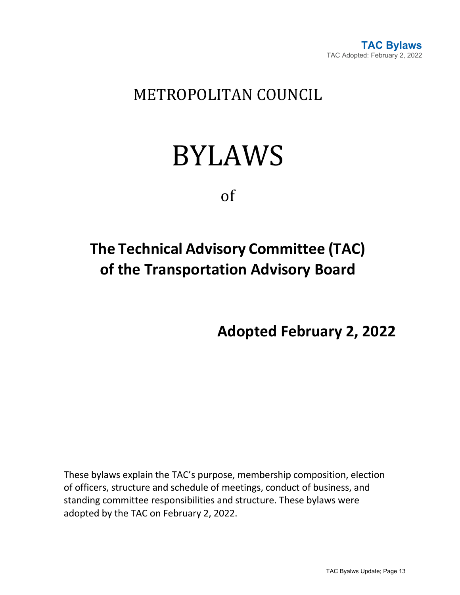

### METROPOLITAN COUNCIL

## BYLAWS

of

## **The Technical Advisory Committee (TAC) of the Transportation Advisory Board**

**Adopted February 2, 2022**

These bylaws explain the TAC's purpose, membership composition, election of officers, structure and schedule of meetings, conduct of business, and standing committee responsibilities and structure. These bylaws were adopted by the TAC on February 2, 2022.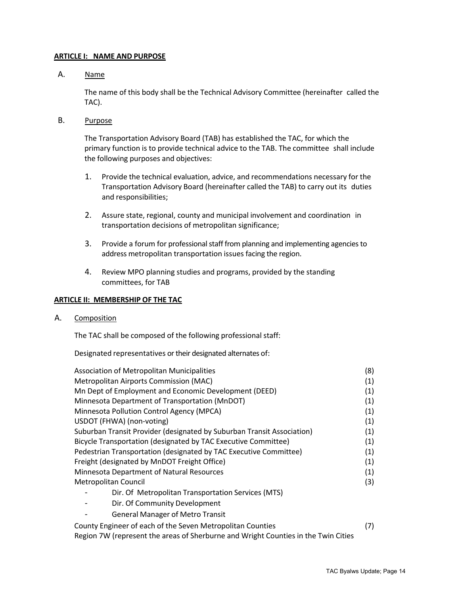#### **ARTICLE I: NAME AND PURPOSE**

A. Name

The name of this body shall be the Technical Advisory Committee (hereinafter called the TAC).

B. Purpose

The Transportation Advisory Board (TAB) has established the TAC, for which the primary function is to provide technical advice to the TAB. The committee shall include the following purposes and objectives:

- 1. Provide the technical evaluation, advice, and recommendations necessary for the Transportation Advisory Board (hereinafter called the TAB) to carry out its duties and responsibilities;
- 2. Assure state, regional, county and municipal involvement and coordination in transportation decisions of metropolitan significance;
- 3. Provide a forum for professional staff from planning and implementing agencies to address metropolitan transportation issues facing the region.
- 4. Review MPO planning studies and programs, provided by the standing committees, for TAB

#### **ARTICLE II: MEMBERSHIP OF THE TAC**

#### A. Composition

The TAC shall be composed of the following professional staff:

Designated representatives or their designated alternates of:

| Association of Metropolitan Municipalities                                         | (8) |
|------------------------------------------------------------------------------------|-----|
| Metropolitan Airports Commission (MAC)                                             | (1) |
| Mn Dept of Employment and Economic Development (DEED)                              | (1) |
| Minnesota Department of Transportation (MnDOT)                                     | (1) |
| Minnesota Pollution Control Agency (MPCA)                                          |     |
| USDOT (FHWA) (non-voting)                                                          | (1) |
| Suburban Transit Provider (designated by Suburban Transit Association)             | (1) |
| Bicycle Transportation (designated by TAC Executive Committee)                     | (1) |
| Pedestrian Transportation (designated by TAC Executive Committee)                  |     |
| Freight (designated by MnDOT Freight Office)                                       | (1) |
| Minnesota Department of Natural Resources                                          | (1) |
| Metropolitan Council                                                               | (3) |
| Dir. Of Metropolitan Transportation Services (MTS)                                 |     |
| Dir. Of Community Development                                                      |     |
| <b>General Manager of Metro Transit</b>                                            |     |
| County Engineer of each of the Seven Metropolitan Counties                         | (7) |
| Region 7W (represent the areas of Sherburne and Wright Counties in the Twin Cities |     |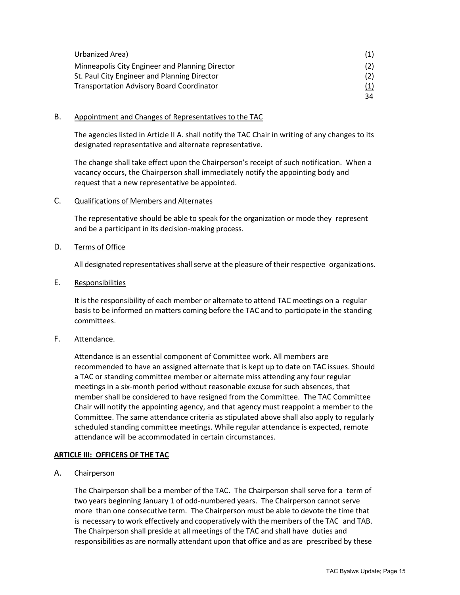| Urbanized Area)                                  |     |
|--------------------------------------------------|-----|
| Minneapolis City Engineer and Planning Director  |     |
| St. Paul City Engineer and Planning Director     |     |
| <b>Transportation Advisory Board Coordinator</b> | (1) |
|                                                  | 34  |

#### B. Appointment and Changes of Representatives to the TAC

The agencies listed in Article II A. shall notify the TAC Chair in writing of any changes to its designated representative and alternate representative.

The change shall take effect upon the Chairperson's receipt of such notification. When a vacancy occurs, the Chairperson shall immediately notify the appointing body and request that a new representative be appointed.

#### C. Qualifications of Members and Alternates

The representative should be able to speak for the organization or mode they represent and be a participant in its decision-making process.

#### D. Terms of Office

All designated representatives shall serve at the pleasure of their respective organizations.

#### E. Responsibilities

It is the responsibility of each member or alternate to attend TAC meetings on a regular basis to be informed on matters coming before the TAC and to participate in the standing committees.

#### F. Attendance.

Attendance is an essential component of Committee work. All members are recommended to have an assigned alternate that is kept up to date on TAC issues. Should a TAC or standing committee member or alternate miss attending any four regular meetings in a six-month period without reasonable excuse for such absences, that member shall be considered to have resigned from the Committee. The TAC Committee Chair will notify the appointing agency, and that agency must reappoint a member to the Committee. The same attendance criteria as stipulated above shall also apply to regularly scheduled standing committee meetings. While regular attendance is expected, remote attendance will be accommodated in certain circumstances.

#### **ARTICLE III: OFFICERS OF THE TAC**

A. Chairperson

The Chairperson shall be a member of the TAC. The Chairperson shall serve for a term of two years beginning January 1 of odd-numbered years. The Chairperson cannot serve more than one consecutive term. The Chairperson must be able to devote the time that is necessary to work effectively and cooperatively with the members of the TAC and TAB. The Chairperson shall preside at all meetings of the TAC and shall have duties and responsibilities as are normally attendant upon that office and as are prescribed by these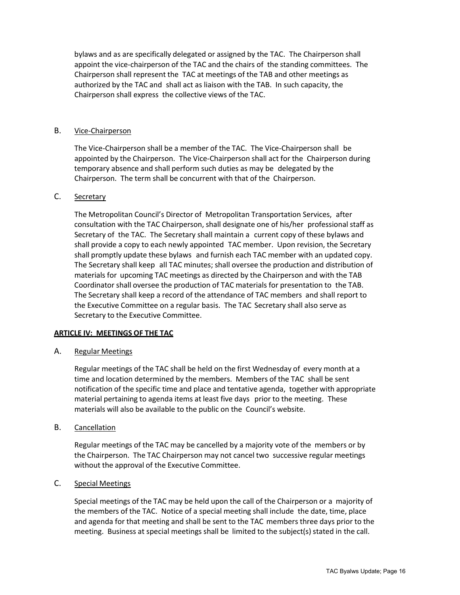bylaws and as are specifically delegated or assigned by the TAC. The Chairperson shall appoint the vice-chairperson of the TAC and the chairs of the standing committees. The Chairperson shall represent the TAC at meetings of the TAB and other meetings as authorized by the TAC and shall act as liaison with the TAB. In such capacity, the Chairperson shall express the collective views of the TAC.

#### B. Vice-Chairperson

The Vice-Chairperson shall be a member of the TAC. The Vice-Chairperson shall be appointed by the Chairperson. The Vice-Chairperson shall act for the Chairperson during temporary absence and shall perform such duties as may be delegated by the Chairperson. The term shall be concurrent with that of the Chairperson.

#### C. Secretary

The Metropolitan Council's Director of Metropolitan Transportation Services, after consultation with the TAC Chairperson, shall designate one of his/her professional staff as Secretary of the TAC. The Secretary shall maintain a current copy of these bylaws and shall provide a copy to each newly appointed TAC member. Upon revision, the Secretary shall promptly update these bylaws and furnish each TAC member with an updated copy. The Secretary shall keep all TAC minutes; shall oversee the production and distribution of materials for upcoming TAC meetings as directed by the Chairperson and with the TAB Coordinator shall oversee the production of TAC materials for presentation to the TAB. The Secretary shall keep a record of the attendance of TAC members and shall report to the Executive Committee on a regular basis. The TAC Secretary shall also serve as Secretary to the Executive Committee.

#### **ARTICLE IV: MEETINGS OF THE TAC**

#### A. Regular Meetings

Regular meetings of the TAC shall be held on the first Wednesday of every month at a time and location determined by the members. Members of the TAC shall be sent notification of the specific time and place and tentative agenda, together with appropriate material pertaining to agenda items at least five days prior to the meeting. These materials will also be available to the public on the Council's website.

#### B. Cancellation

Regular meetings of the TAC may be cancelled by a majority vote of the members or by the Chairperson. The TAC Chairperson may not cancel two successive regular meetings without the approval of the Executive Committee.

#### C. Special Meetings

Special meetings of the TAC may be held upon the call of the Chairperson or a majority of the members of the TAC. Notice of a special meeting shall include the date, time, place and agenda for that meeting and shall be sent to the TAC members three days prior to the meeting. Business at special meetings shall be limited to the subject(s) stated in the call.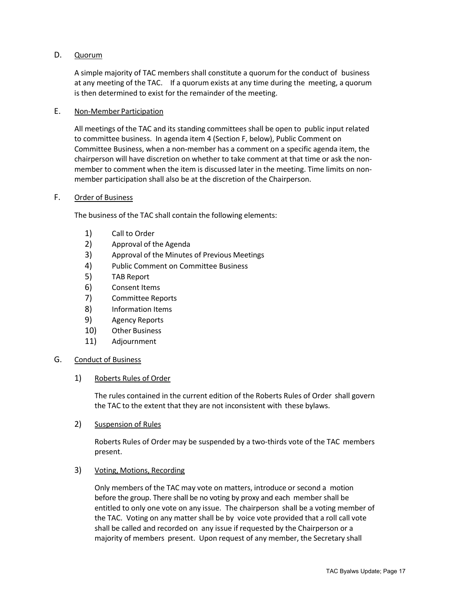#### D. Quorum

A simple majority of TAC members shall constitute a quorum for the conduct of business at any meeting of the TAC. If a quorum exists at any time during the meeting, a quorum is then determined to exist for the remainder of the meeting.

#### E. Non-Member Participation

All meetings of the TAC and its standing committees shall be open to public input related to committee business. In agenda item 4 (Section F, below), Public Comment on Committee Business, when a non-member has a comment on a specific agenda item, the chairperson will have discretion on whether to take comment at that time or ask the nonmember to comment when the item is discussed later in the meeting. Time limits on nonmember participation shall also be at the discretion of the Chairperson.

#### F. Order of Business

The business of the TAC shall contain the following elements:

- 1) Call to Order
- 2) Approval of the Agenda
- 3) Approval of the Minutes of Previous Meetings
- 4) Public Comment on Committee Business
- 5) TAB Report
- 6) Consent Items
- 7) Committee Reports
- 8) Information Items
- 9) Agency Reports
- 10) Other Business
- 11) Adjournment

#### G. Conduct of Business

#### 1) Roberts Rules of Order

The rules contained in the current edition of the Roberts Rules of Order shall govern the TAC to the extent that they are not inconsistent with these bylaws.

2) Suspension of Rules

Roberts Rules of Order may be suspended by a two-thirds vote of the TAC members present.

#### 3) Voting, Motions, Recording

Only members of the TAC may vote on matters, introduce or second a motion before the group. There shall be no voting by proxy and each member shall be entitled to only one vote on any issue. The chairperson shall be a voting member of the TAC. Voting on any matter shall be by voice vote provided that a roll call vote shall be called and recorded on any issue if requested by the Chairperson or a majority of members present. Upon request of any member, the Secretary shall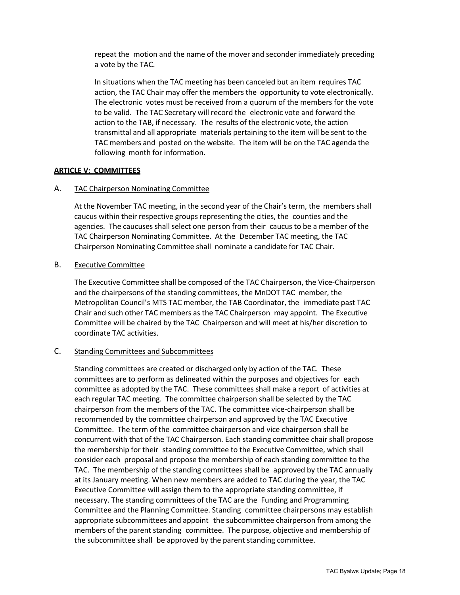repeat the motion and the name of the mover and seconder immediately preceding a vote by the TAC.

In situations when the TAC meeting has been canceled but an item requires TAC action, the TAC Chair may offer the members the opportunity to vote electronically. The electronic votes must be received from a quorum of the members for the vote to be valid. The TAC Secretary will record the electronic vote and forward the action to the TAB, if necessary. The results of the electronic vote, the action transmittal and all appropriate materials pertaining to the item will be sent to the TAC members and posted on the website. The item will be on the TAC agenda the following month for information.

#### **ARTICLE V: COMMITTEES**

#### A. TAC Chairperson Nominating Committee

At the November TAC meeting, in the second year of the Chair's term, the membersshall caucus within their respective groups representing the cities, the counties and the agencies. The caucuses shall select one person from their caucus to be a member of the TAC Chairperson Nominating Committee. At the December TAC meeting, the TAC Chairperson Nominating Committee shall nominate a candidate for TAC Chair.

#### B. Executive Committee

The Executive Committee shall be composed of the TAC Chairperson, the Vice-Chairperson and the chairpersons of the standing committees, the MnDOT TAC member, the Metropolitan Council's MTS TAC member, the TAB Coordinator, the immediate past TAC Chair and such other TAC members as the TAC Chairperson may appoint. The Executive Committee will be chaired by the TAC Chairperson and will meet at his/her discretion to coordinate TAC activities.

#### C. Standing Committees and Subcommittees

Standing committees are created or discharged only by action of the TAC. These committees are to perform as delineated within the purposes and objectives for each committee as adopted by the TAC. These committees shall make a report of activities at each regular TAC meeting. The committee chairperson shall be selected by the TAC chairperson from the members of the TAC. The committee vice-chairperson shall be recommended by the committee chairperson and approved by the TAC Executive Committee. The term of the committee chairperson and vice chairperson shall be concurrent with that of the TAC Chairperson. Each standing committee chair shall propose the membership for their standing committee to the Executive Committee, which shall consider each proposal and propose the membership of each standing committee to the TAC. The membership of the standing committees shall be approved by the TAC annually at its January meeting. When new members are added to TAC during the year, the TAC Executive Committee will assign them to the appropriate standing committee, if necessary. The standing committees of the TAC are the Funding and Programming Committee and the Planning Committee. Standing committee chairpersons may establish appropriate subcommittees and appoint the subcommittee chairperson from among the members of the parent standing committee. The purpose, objective and membership of the subcommittee shall be approved by the parent standing committee.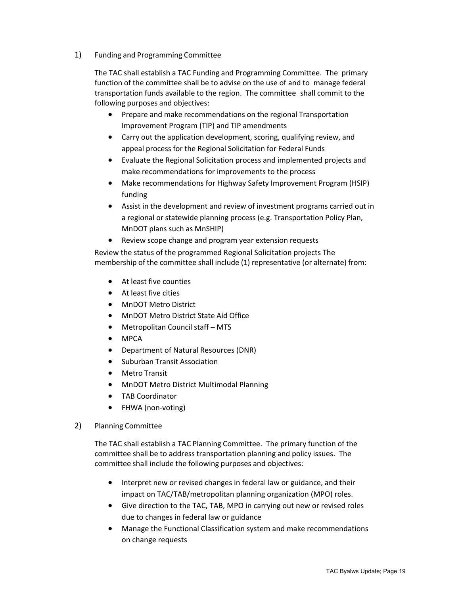1) Funding and Programming Committee

The TAC shall establish a TAC Funding and Programming Committee. The primary function of the committee shall be to advise on the use of and to manage federal transportation funds available to the region. The committee shall commit to the following purposes and objectives:

- Prepare and make recommendations on the regional Transportation Improvement Program (TIP) and TIP amendments
- Carry out the application development, scoring, qualifying review, and appeal process for the Regional Solicitation for Federal Funds
- Evaluate the Regional Solicitation process and implemented projects and make recommendations for improvements to the process
- Make recommendations for Highway Safety Improvement Program (HSIP) funding
- Assist in the development and review of investment programs carried out in a regional or statewide planning process (e.g. Transportation Policy Plan, MnDOT plans such as MnSHIP)
- Review scope change and program year extension requests

Review the status of the programmed Regional Solicitation projects The membership of the committee shall include (1) representative (or alternate) from:

- At least five counties
- At least five cities
- MnDOT Metro District
- MnDOT Metro District State Aid Office
- Metropolitan Council staff MTS
- MPCA
- Department of Natural Resources (DNR)
- Suburban Transit Association
- Metro Transit
- MnDOT Metro District Multimodal Planning
- TAB Coordinator
- FHWA (non-voting)
- 2) Planning Committee

The TAC shall establish a TAC Planning Committee. The primary function of the committee shall be to address transportation planning and policy issues. The committee shall include the following purposes and objectives:

- Interpret new or revised changes in federal law or guidance, and their impact on TAC/TAB/metropolitan planning organization (MPO) roles.
- Give direction to the TAC, TAB, MPO in carrying out new or revised roles due to changes in federal law or guidance
- Manage the Functional Classification system and make recommendations on change requests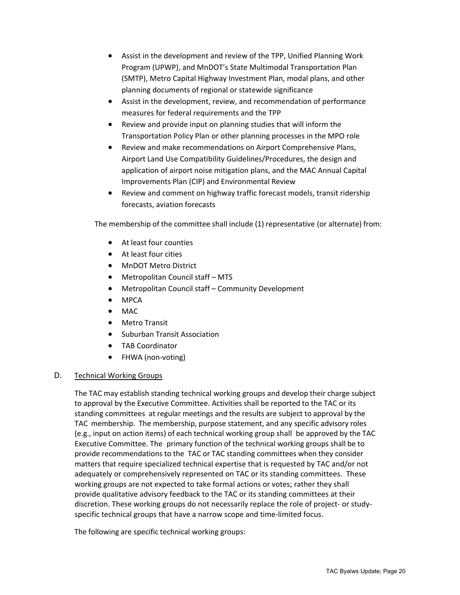- Assist in the development and review of the TPP, Unified Planning Work Program (UPWP), and MnDOT's State Multimodal Transportation Plan (SMTP), Metro Capital Highway Investment Plan, modal plans, and other planning documents of regional or statewide significance
- Assist in the development, review, and recommendation of performance measures for federal requirements and the TPP
- Review and provide input on planning studies that will inform the Transportation Policy Plan or other planning processes in the MPO role
- Review and make recommendations on Airport Comprehensive Plans, Airport Land Use Compatibility Guidelines/Procedures, the design and application of airport noise mitigation plans, and the MAC Annual Capital Improvements Plan (CIP) and Environmental Review
- Review and comment on highway traffic forecast models, transit ridership forecasts, aviation forecasts

The membership of the committee shall include (1) representative (or alternate) from:

- At least four counties
- At least four cities
- MnDOT Metro District
- Metropolitan Council staff MTS
- Metropolitan Council staff Community Development
- MPCA
- MAC
- Metro Transit
- Suburban Transit Association
- TAB Coordinator
- FHWA (non-voting)

#### D. Technical Working Groups

The TAC may establish standing technical working groups and develop their charge subject to approval by the Executive Committee. Activities shall be reported to the TAC or its standing committees at regular meetings and the results are subject to approval by the TAC membership. The membership, purpose statement, and any specific advisory roles (e.g., input on action items) of each technical working group shall be approved by the TAC Executive Committee. The primary function of the technical working groups shall be to provide recommendations to the TAC or TAC standing committees when they consider matters that require specialized technical expertise that is requested by TAC and/or not adequately or comprehensively represented on TAC or its standing committees. These working groups are not expected to take formal actions or votes; rather they shall provide qualitative advisory feedback to the TAC or its standing committees at their discretion. These working groups do not necessarily replace the role of project- or studyspecific technical groups that have a narrow scope and time-limited focus.

The following are specific technical working groups: